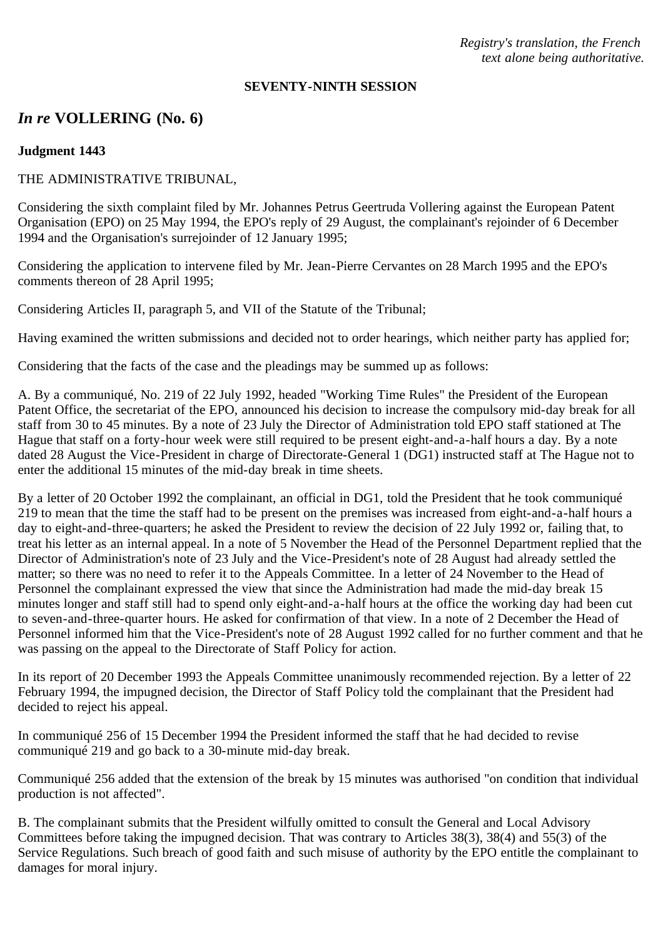*Registry's translation, the French text alone being authoritative.*

#### **SEVENTY-NINTH SESSION**

# *In re* **VOLLERING (No. 6)**

## **Judgment 1443**

# THE ADMINISTRATIVE TRIBUNAL,

Considering the sixth complaint filed by Mr. Johannes Petrus Geertruda Vollering against the European Patent Organisation (EPO) on 25 May 1994, the EPO's reply of 29 August, the complainant's rejoinder of 6 December 1994 and the Organisation's surrejoinder of 12 January 1995;

Considering the application to intervene filed by Mr. Jean-Pierre Cervantes on 28 March 1995 and the EPO's comments thereon of 28 April 1995;

Considering Articles II, paragraph 5, and VII of the Statute of the Tribunal;

Having examined the written submissions and decided not to order hearings, which neither party has applied for;

Considering that the facts of the case and the pleadings may be summed up as follows:

A. By a communiqué, No. 219 of 22 July 1992, headed "Working Time Rules" the President of the European Patent Office, the secretariat of the EPO, announced his decision to increase the compulsory mid-day break for all staff from 30 to 45 minutes. By a note of 23 July the Director of Administration told EPO staff stationed at The Hague that staff on a forty-hour week were still required to be present eight-and-a-half hours a day. By a note dated 28 August the Vice-President in charge of Directorate-General 1 (DG1) instructed staff at The Hague not to enter the additional 15 minutes of the mid-day break in time sheets.

By a letter of 20 October 1992 the complainant, an official in DG1, told the President that he took communiqué 219 to mean that the time the staff had to be present on the premises was increased from eight-and-a-half hours a day to eight-and-three-quarters; he asked the President to review the decision of 22 July 1992 or, failing that, to treat his letter as an internal appeal. In a note of 5 November the Head of the Personnel Department replied that the Director of Administration's note of 23 July and the Vice-President's note of 28 August had already settled the matter; so there was no need to refer it to the Appeals Committee. In a letter of 24 November to the Head of Personnel the complainant expressed the view that since the Administration had made the mid-day break 15 minutes longer and staff still had to spend only eight-and-a-half hours at the office the working day had been cut to seven-and-three-quarter hours. He asked for confirmation of that view. In a note of 2 December the Head of Personnel informed him that the Vice-President's note of 28 August 1992 called for no further comment and that he was passing on the appeal to the Directorate of Staff Policy for action.

In its report of 20 December 1993 the Appeals Committee unanimously recommended rejection. By a letter of 22 February 1994, the impugned decision, the Director of Staff Policy told the complainant that the President had decided to reject his appeal.

In communiqué 256 of 15 December 1994 the President informed the staff that he had decided to revise communiqué 219 and go back to a 30-minute mid-day break.

Communiqué 256 added that the extension of the break by 15 minutes was authorised "on condition that individual production is not affected".

B. The complainant submits that the President wilfully omitted to consult the General and Local Advisory Committees before taking the impugned decision. That was contrary to Articles 38(3), 38(4) and 55(3) of the Service Regulations. Such breach of good faith and such misuse of authority by the EPO entitle the complainant to damages for moral injury.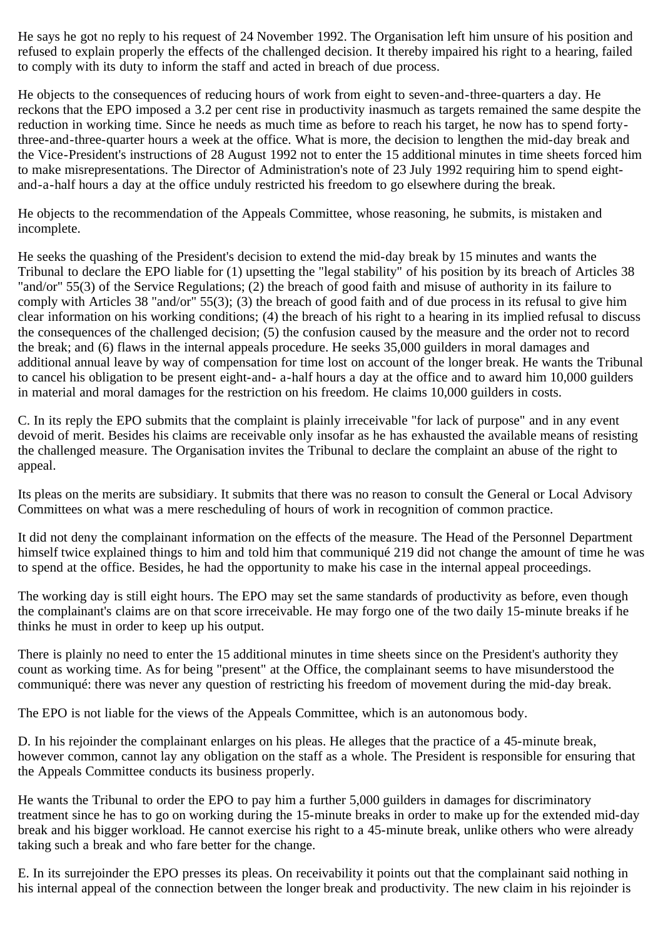He says he got no reply to his request of 24 November 1992. The Organisation left him unsure of his position and refused to explain properly the effects of the challenged decision. It thereby impaired his right to a hearing, failed to comply with its duty to inform the staff and acted in breach of due process.

He objects to the consequences of reducing hours of work from eight to seven-and-three-quarters a day. He reckons that the EPO imposed a 3.2 per cent rise in productivity inasmuch as targets remained the same despite the reduction in working time. Since he needs as much time as before to reach his target, he now has to spend fortythree-and-three-quarter hours a week at the office. What is more, the decision to lengthen the mid-day break and the Vice-President's instructions of 28 August 1992 not to enter the 15 additional minutes in time sheets forced him to make misrepresentations. The Director of Administration's note of 23 July 1992 requiring him to spend eightand-a-half hours a day at the office unduly restricted his freedom to go elsewhere during the break.

He objects to the recommendation of the Appeals Committee, whose reasoning, he submits, is mistaken and incomplete.

He seeks the quashing of the President's decision to extend the mid-day break by 15 minutes and wants the Tribunal to declare the EPO liable for (1) upsetting the "legal stability" of his position by its breach of Articles 38 "and/or" 55(3) of the Service Regulations; (2) the breach of good faith and misuse of authority in its failure to comply with Articles 38 "and/or" 55(3); (3) the breach of good faith and of due process in its refusal to give him clear information on his working conditions; (4) the breach of his right to a hearing in its implied refusal to discuss the consequences of the challenged decision; (5) the confusion caused by the measure and the order not to record the break; and (6) flaws in the internal appeals procedure. He seeks 35,000 guilders in moral damages and additional annual leave by way of compensation for time lost on account of the longer break. He wants the Tribunal to cancel his obligation to be present eight-and- a-half hours a day at the office and to award him 10,000 guilders in material and moral damages for the restriction on his freedom. He claims 10,000 guilders in costs.

C. In its reply the EPO submits that the complaint is plainly irreceivable "for lack of purpose" and in any event devoid of merit. Besides his claims are receivable only insofar as he has exhausted the available means of resisting the challenged measure. The Organisation invites the Tribunal to declare the complaint an abuse of the right to appeal.

Its pleas on the merits are subsidiary. It submits that there was no reason to consult the General or Local Advisory Committees on what was a mere rescheduling of hours of work in recognition of common practice.

It did not deny the complainant information on the effects of the measure. The Head of the Personnel Department himself twice explained things to him and told him that communiqué 219 did not change the amount of time he was to spend at the office. Besides, he had the opportunity to make his case in the internal appeal proceedings.

The working day is still eight hours. The EPO may set the same standards of productivity as before, even though the complainant's claims are on that score irreceivable. He may forgo one of the two daily 15-minute breaks if he thinks he must in order to keep up his output.

There is plainly no need to enter the 15 additional minutes in time sheets since on the President's authority they count as working time. As for being "present" at the Office, the complainant seems to have misunderstood the communiqué: there was never any question of restricting his freedom of movement during the mid-day break.

The EPO is not liable for the views of the Appeals Committee, which is an autonomous body.

D. In his rejoinder the complainant enlarges on his pleas. He alleges that the practice of a 45-minute break, however common, cannot lay any obligation on the staff as a whole. The President is responsible for ensuring that the Appeals Committee conducts its business properly.

He wants the Tribunal to order the EPO to pay him a further 5,000 guilders in damages for discriminatory treatment since he has to go on working during the 15-minute breaks in order to make up for the extended mid-day break and his bigger workload. He cannot exercise his right to a 45-minute break, unlike others who were already taking such a break and who fare better for the change.

E. In its surrejoinder the EPO presses its pleas. On receivability it points out that the complainant said nothing in his internal appeal of the connection between the longer break and productivity. The new claim in his rejoinder is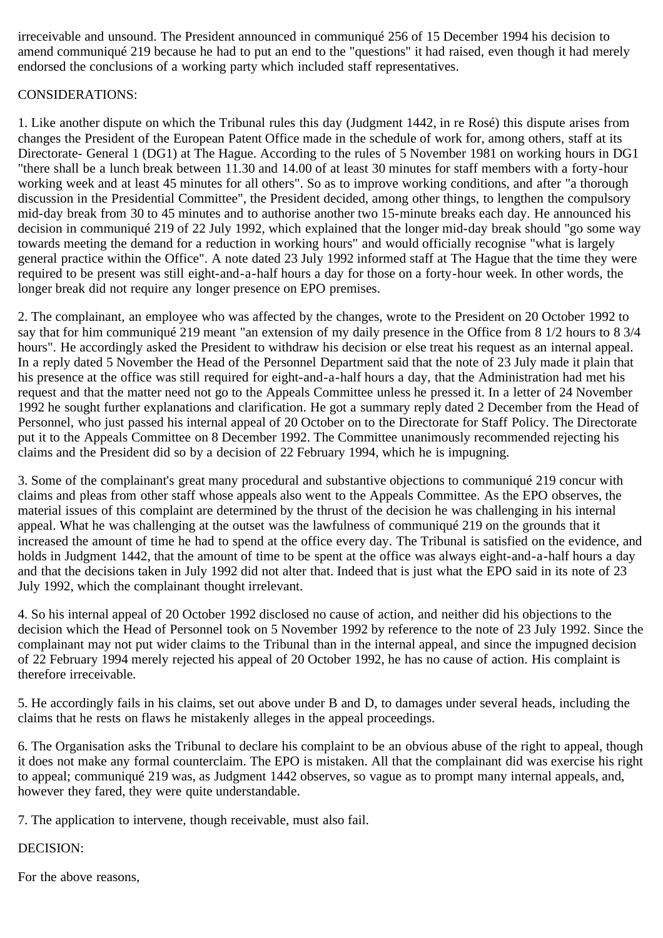irreceivable and unsound. The President announced in communiqué 256 of 15 December 1994 his decision to amend communiqué 219 because he had to put an end to the "questions" it had raised, even though it had merely endorsed the conclusions of a working party which included staff representatives.

# CONSIDERATIONS:

1. Like another dispute on which the Tribunal rules this day (Judgment 1442, in re Rosé) this dispute arises from changes the President of the European Patent Office made in the schedule of work for, among others, staff at its Directorate- General 1 (DG1) at The Hague. According to the rules of 5 November 1981 on working hours in DG1 "there shall be a lunch break between 11.30 and 14.00 of at least 30 minutes for staff members with a forty-hour working week and at least 45 minutes for all others". So as to improve working conditions, and after "a thorough discussion in the Presidential Committee", the President decided, among other things, to lengthen the compulsory mid-day break from 30 to 45 minutes and to authorise another two 15-minute breaks each day. He announced his decision in communiqué 219 of 22 July 1992, which explained that the longer mid-day break should "go some way towards meeting the demand for a reduction in working hours" and would officially recognise "what is largely general practice within the Office". A note dated 23 July 1992 informed staff at The Hague that the time they were required to be present was still eight-and-a-half hours a day for those on a forty-hour week. In other words, the longer break did not require any longer presence on EPO premises.

2. The complainant, an employee who was affected by the changes, wrote to the President on 20 October 1992 to say that for him communiqué 219 meant "an extension of my daily presence in the Office from 8 1/2 hours to 8 3/4 hours". He accordingly asked the President to withdraw his decision or else treat his request as an internal appeal. In a reply dated 5 November the Head of the Personnel Department said that the note of 23 July made it plain that his presence at the office was still required for eight-and-a-half hours a day, that the Administration had met his request and that the matter need not go to the Appeals Committee unless he pressed it. In a letter of 24 November 1992 he sought further explanations and clarification. He got a summary reply dated 2 December from the Head of Personnel, who just passed his internal appeal of 20 October on to the Directorate for Staff Policy. The Directorate put it to the Appeals Committee on 8 December 1992. The Committee unanimously recommended rejecting his claims and the President did so by a decision of 22 February 1994, which he is impugning.

3. Some of the complainant's great many procedural and substantive objections to communiqué 219 concur with claims and pleas from other staff whose appeals also went to the Appeals Committee. As the EPO observes, the material issues of this complaint are determined by the thrust of the decision he was challenging in his internal appeal. What he was challenging at the outset was the lawfulness of communiqué 219 on the grounds that it increased the amount of time he had to spend at the office every day. The Tribunal is satisfied on the evidence, and holds in Judgment 1442, that the amount of time to be spent at the office was always eight-and-a-half hours a day and that the decisions taken in July 1992 did not alter that. Indeed that is just what the EPO said in its note of 23 July 1992, which the complainant thought irrelevant.

4. So his internal appeal of 20 October 1992 disclosed no cause of action, and neither did his objections to the decision which the Head of Personnel took on 5 November 1992 by reference to the note of 23 July 1992. Since the complainant may not put wider claims to the Tribunal than in the internal appeal, and since the impugned decision of 22 February 1994 merely rejected his appeal of 20 October 1992, he has no cause of action. His complaint is therefore irreceivable.

5. He accordingly fails in his claims, set out above under B and D, to damages under several heads, including the claims that he rests on flaws he mistakenly alleges in the appeal proceedings.

6. The Organisation asks the Tribunal to declare his complaint to be an obvious abuse of the right to appeal, though it does not make any formal counterclaim. The EPO is mistaken. All that the complainant did was exercise his right to appeal; communiqué 219 was, as Judgment 1442 observes, so vague as to prompt many internal appeals, and, however they fared, they were quite understandable.

7. The application to intervene, though receivable, must also fail.

DECISION:

For the above reasons,